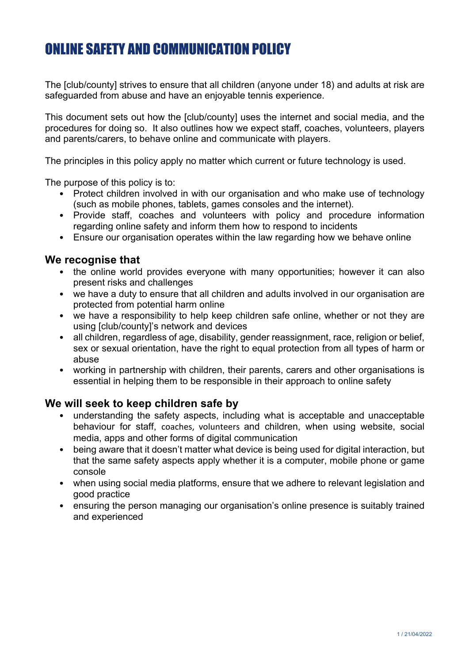# ONLINE SAFETY AND COMMUNICATION POLICY

The [club/county] strives to ensure that all children (anyone under 18) and adults at risk are safeguarded from abuse and have an enjoyable tennis experience.

This document sets out how the [club/county] uses the internet and social media, and the procedures for doing so. It also outlines how we expect staff, coaches, volunteers, players and parents/carers, to behave online and communicate with players.

The principles in this policy apply no matter which current or future technology is used.

The purpose of this policy is to:

- Protect children involved in with our organisation and who make use of technology (such as mobile phones, tablets, games consoles and the internet).
- Provide staff, coaches and volunteers with policy and procedure information regarding online safety and inform them how to respond to incidents
- Ensure our organisation operates within the law regarding how we behave online

#### **We recognise that**

- the online world provides everyone with many opportunities; however it can also present risks and challenges
- we have a duty to ensure that all children and adults involved in our organisation are protected from potential harm online
- we have a responsibility to help keep children safe online, whether or not they are using [club/county]'s network and devices
- all children, regardless of age, disability, gender reassignment, race, religion or belief, sex or sexual orientation, have the right to equal protection from all types of harm or abuse
- working in partnership with children, their parents, carers and other organisations is essential in helping them to be responsible in their approach to online safety

#### **We will seek to keep children safe by**

- understanding the safety aspects, including what is acceptable and unacceptable behaviour for staff, coaches, volunteers and children, when using website, social media, apps and other forms of digital communication
- being aware that it doesn't matter what device is being used for digital interaction, but that the same safety aspects apply whether it is a computer, mobile phone or game console
- when using social media platforms, ensure that we adhere to relevant legislation and good practice
- ensuring the person managing our organisation's online presence is suitably trained and experienced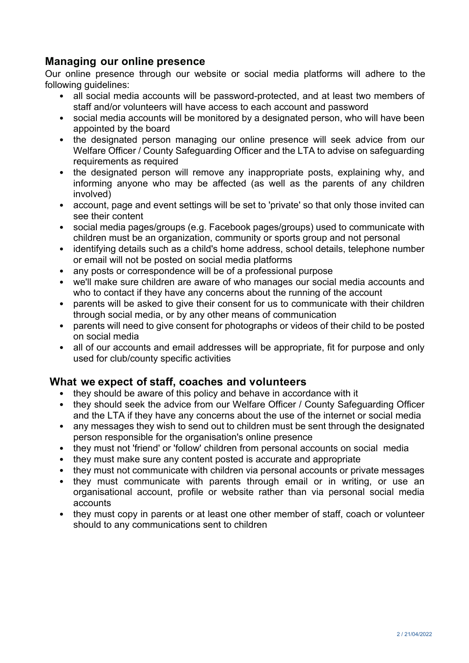# **Managing our online presence**

Our online presence through our website or social media platforms will adhere to the following guidelines:

- all social media accounts will be password-protected, and at least two members of staff and/or volunteers will have access to each account and password
- social media accounts will be monitored by a designated person, who will have been appointed by the board
- the designated person managing our online presence will seek advice from our Welfare Officer / County Safeguarding Officer and the LTA to advise on safeguarding requirements as required
- the designated person will remove any inappropriate posts, explaining why, and informing anyone who may be affected (as well as the parents of any children involved)
- account, page and event settings will be set to 'private' so that only those invited can see their content
- social media pages/groups (e.g. Facebook pages/groups) used to communicate with children must be an organization, community or sports group and not personal
- identifying details such as a child's home address, school details, telephone number or email will not be posted on social media platforms
- any posts or correspondence will be of a professional purpose
- we'll make sure children are aware of who manages our social media accounts and who to contact if they have any concerns about the running of the account
- parents will be asked to give their consent for us to communicate with their children through social media, or by any other means of communication
- parents will need to give consent for photographs or videos of their child to be posted on social media
- all of our accounts and email addresses will be appropriate, fit for purpose and only used for club/county specific activities

# **What we expect of staff, coaches and volunteers**

- they should be aware of this policy and behave in accordance with it
- they should seek the advice from our Welfare Officer / County Safeguarding Officer and the LTA if they have any concerns about the use of the internet or social media
- any messages they wish to send out to children must be sent through the designated person responsible for the organisation's online presence
- they must not 'friend' or 'follow' children from personal accounts on social media
- they must make sure any content posted is accurate and appropriate
- they must not communicate with children via personal accounts or private messages
- they must communicate with parents through email or in writing, or use an organisational account, profile or website rather than via personal social media accounts
- they must copy in parents or at least one other member of staff, coach or volunteer should to any communications sent to children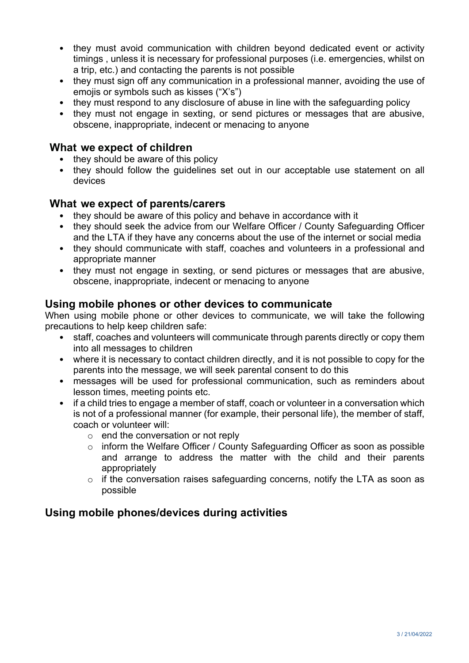- they must avoid communication with children beyond dedicated event or activity timings , unless it is necessary for professional purposes (i.e. emergencies, whilst on a trip, etc.) and contacting the parents is not possible
- they must sign off any communication in a professional manner, avoiding the use of emojis or symbols such as kisses ("X's")
- they must respond to any disclosure of abuse in line with the safeguarding policy
- they must not engage in sexting, or send pictures or messages that are abusive, obscene, inappropriate, indecent or menacing to anyone

# **What we expect of children**

- they should be aware of this policy
- they should follow the guidelines set out in our acceptable use statement on all devices

### **What we expect of parents/carers**

- they should be aware of this policy and behave in accordance with it
- they should seek the advice from our Welfare Officer / County Safeguarding Officer and the LTA if they have any concerns about the use of the internet or social media
- they should communicate with staff, coaches and volunteers in a professional and appropriate manner
- they must not engage in sexting, or send pictures or messages that are abusive, obscene, inappropriate, indecent or menacing to anyone

### **Using mobile phones or other devices to communicate**

When using mobile phone or other devices to communicate, we will take the following precautions to help keep children safe:

- staff, coaches and volunteers will communicate through parents directly or copy them into all messages to children
- where it is necessary to contact children directly, and it is not possible to copy for the parents into the message, we will seek parental consent to do this
- messages will be used for professional communication, such as reminders about lesson times, meeting points etc.
- if a child tries to engage a member of staff, coach or volunteer in a conversation which is not of a professional manner (for example, their personal life), the member of staff, coach or volunteer will:
	- $\circ$  end the conversation or not reply
	- o inform the Welfare Officer / County Safeguarding Officer as soon as possible and arrange to address the matter with the child and their parents appropriately
	- o if the conversation raises safeguarding concerns, notify the LTA as soon as possible

# **Using mobile phones/devices during activities**